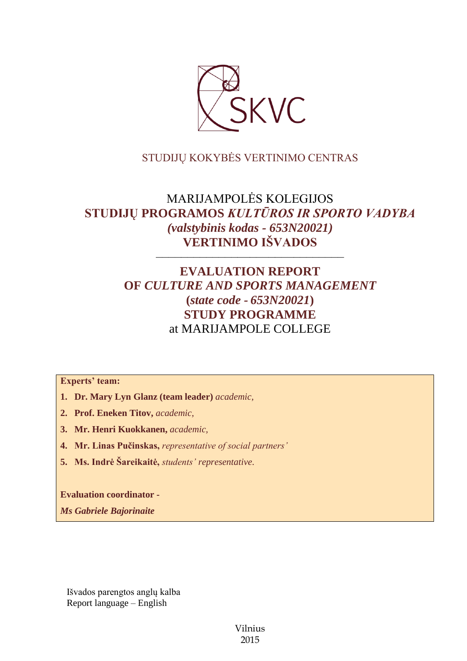

# STUDIJŲ KOKYBĖS VERTINIMO CENTRAS

# MARIJAMPOLĖS KOLEGIJOS **STUDIJŲ PROGRAMOS** *KULTŪROS IR SPORTO VADYBA (valstybinis kodas - 653N20021)* **VERTINIMO IŠVADOS**

––––––––––––––––––––––––––––––

# **EVALUATION REPORT OF** *CULTURE AND SPORTS MANAGEMENT* **(***state code - 653N20021***) STUDY PROGRAMME** at MARIJAMPOLE COLLEGE

**Experts' team:** 

- **1. Dr. Mary Lyn Glanz (team leader)** *academic,*
- **2. Prof. Eneken Titov,** *academic,*
- **3. Mr. Henri Kuokkanen,** *academic,*
- **4. Mr. Linas Pučinskas,** *representative of social partners'*
- **5. Ms. Indrė Šareikaitė,** *students' representative*.

**Evaluation coordinator -**

*Ms Gabriele Bajorinaite*

Išvados parengtos anglų kalba Report language – English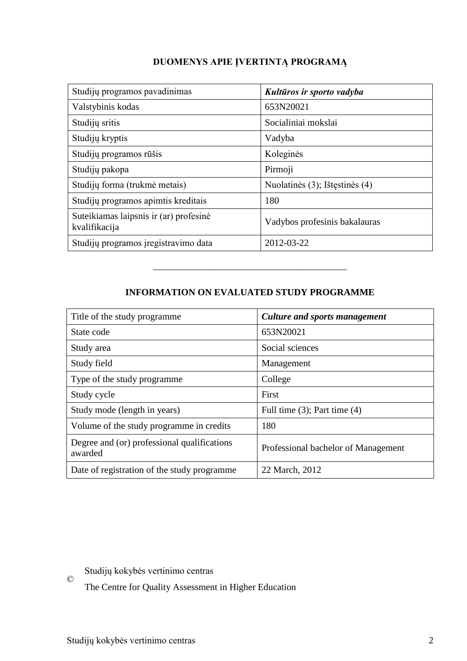| Studijų programos pavadinimas                           | Kultūros ir sporto vadyba      |
|---------------------------------------------------------|--------------------------------|
| Valstybinis kodas                                       | 653N20021                      |
| Studijų sritis                                          | Socialiniai mokslai            |
| Studijų kryptis                                         | Vadyba                         |
| Studijų programos rūšis                                 | Koleginės                      |
| Studijų pakopa                                          | Pirmoji                        |
| Studijų forma (trukmė metais)                           | Nuolatinės (3); Ištęstinės (4) |
| Studijų programos apimtis kreditais                     | 180                            |
| Suteikiamas laipsnis ir (ar) profesinė<br>kvalifikacija | Vadybos profesinis bakalauras  |
| Studijų programos įregistravimo data                    | 2012-03-22                     |

## **INFORMATION ON EVALUATED STUDY PROGRAMME**

–––––––––––––––––––––––––––––––

| Title of the study programme.                          | Culture and sports management       |
|--------------------------------------------------------|-------------------------------------|
| State code                                             | 653N20021                           |
| Study area                                             | Social sciences                     |
| Study field                                            | Management                          |
| Type of the study programme                            | College                             |
| Study cycle                                            | First                               |
| Study mode (length in years)                           | Full time $(3)$ ; Part time $(4)$   |
| Volume of the study programme in credits               | 180                                 |
| Degree and (or) professional qualifications<br>awarded | Professional bachelor of Management |
| Date of registration of the study programme            | 22 March, 2012                      |

 $\copyright$ Studijų kokybės vertinimo centras

The Centre for Quality Assessment in Higher Education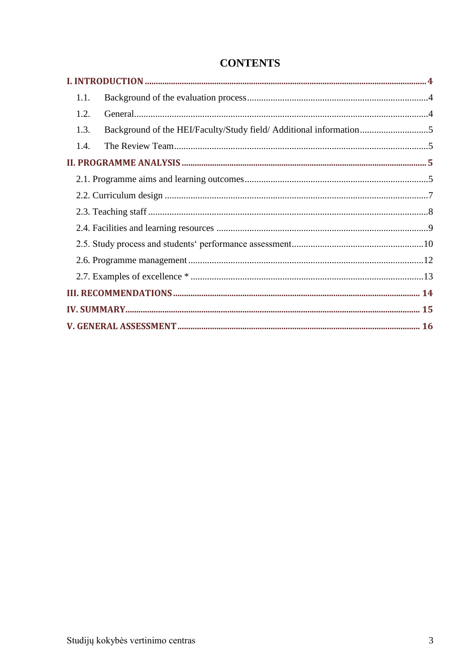| 1.1.                                                                      |  |
|---------------------------------------------------------------------------|--|
| 1.2.                                                                      |  |
| Background of the HEI/Faculty/Study field/ Additional information<br>1.3. |  |
| 1.4.                                                                      |  |
|                                                                           |  |
|                                                                           |  |
|                                                                           |  |
|                                                                           |  |
|                                                                           |  |
|                                                                           |  |
|                                                                           |  |
|                                                                           |  |
|                                                                           |  |
|                                                                           |  |
|                                                                           |  |

# **CONTENTS**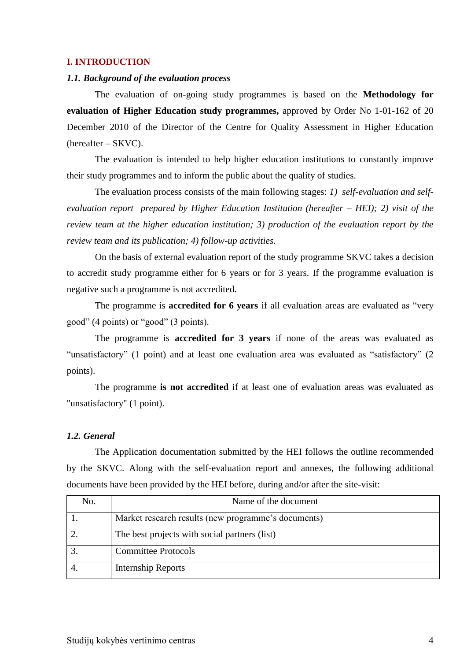## <span id="page-3-0"></span>**I. INTRODUCTION**

## <span id="page-3-1"></span>*1.1. Background of the evaluation process*

The evaluation of on-going study programmes is based on the **Methodology for evaluation of Higher Education study programmes,** approved by Order No 1-01-162 of 20 December 2010 of the Director of the Centre for Quality Assessment in Higher Education (hereafter – SKVC).

The evaluation is intended to help higher education institutions to constantly improve their study programmes and to inform the public about the quality of studies.

The evaluation process consists of the main following stages: *1) self-evaluation and selfevaluation report prepared by Higher Education Institution (hereafter – HEI); 2) visit of the review team at the higher education institution; 3) production of the evaluation report by the review team and its publication; 4) follow-up activities.* 

On the basis of external evaluation report of the study programme SKVC takes a decision to accredit study programme either for 6 years or for 3 years. If the programme evaluation is negative such a programme is not accredited.

The programme is **accredited for 6 years** if all evaluation areas are evaluated as "very good" (4 points) or "good" (3 points).

The programme is **accredited for 3 years** if none of the areas was evaluated as "unsatisfactory" (1 point) and at least one evaluation area was evaluated as "satisfactory" (2 points).

The programme **is not accredited** if at least one of evaluation areas was evaluated as "unsatisfactory" (1 point).

## <span id="page-3-2"></span>*1.2. General*

The Application documentation submitted by the HEI follows the outline recommended by the SKVC. Along with the self-evaluation report and annexes, the following additional documents have been provided by the HEI before, during and/or after the site-visit:

| No. | Name of the document                                |
|-----|-----------------------------------------------------|
|     | Market research results (new programme's documents) |
|     | The best projects with social partners (list)       |
|     | <b>Committee Protocols</b>                          |
|     | Internship Reports                                  |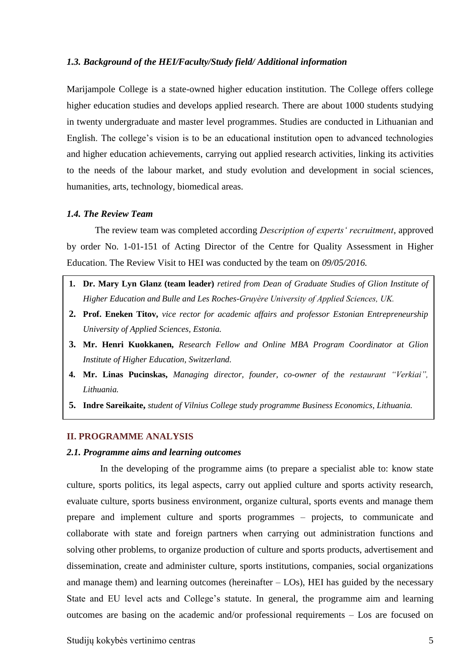## <span id="page-4-0"></span>*1.3. Background of the HEI/Faculty/Study field/ Additional information*

Marijampole College is a state-owned higher education institution. The College offers college higher education studies and develops applied research. There are about 1000 students studying in twenty undergraduate and master level programmes. Studies are conducted in Lithuanian and English. The college's vision is to be an educational institution open to advanced technologies and higher education achievements, carrying out applied research activities, linking its activities to the needs of the labour market, and study evolution and development in social sciences, humanities, arts, technology, biomedical areas.

#### <span id="page-4-1"></span>*1.4. The Review Team*

The review team was completed according *Description of experts' recruitment*, approved by order No. 1-01-151 of Acting Director of the Centre for Quality Assessment in Higher Education. The Review Visit to HEI was conducted by the team on *09/05/2016.*

- **1. Dr. Mary Lyn Glanz (team leader)** *retired from Dean of Graduate Studies of Glion Institute of Higher Education and Bulle and Les Roches-Gruyère University of Applied Sciences, UK.*
- **2. Prof. Eneken Titov,** *vice rector for academic affairs and professor Estonian Entrepreneurship University of Applied Sciences, Estonia.*
- **3. Mr. Henri Kuokkanen,** *Research Fellow and Online MBA Program Coordinator at Glion Institute of Higher Education, Switzerland.*
- <span id="page-4-2"></span>**4. Mr. Linas Pucinskas,** *Managing director, founder, co-owner of the restaurant "Verkiai", Lithuania.*
- **5. Indre Sareikaite,** *student of Vilnius College study programme Business Economics, Lithuania.*

#### **II. PROGRAMME ANALYSIS**

### <span id="page-4-3"></span>*2.1. Programme aims and learning outcomes*

In the developing of the programme aims (to prepare a specialist able to: know state culture, sports politics, its legal aspects, carry out applied culture and sports activity research, evaluate culture, sports business environment, organize cultural, sports events and manage them prepare and implement culture and sports programmes – projects, to communicate and collaborate with state and foreign partners when carrying out administration functions and solving other problems, to organize production of culture and sports products, advertisement and dissemination, create and administer culture, sports institutions, companies, social organizations and manage them) and learning outcomes (hereinafter – LOs), HEI has guided by the necessary State and EU level acts and College's statute. In general, the programme aim and learning outcomes are basing on the academic and/or professional requirements – Los are focused on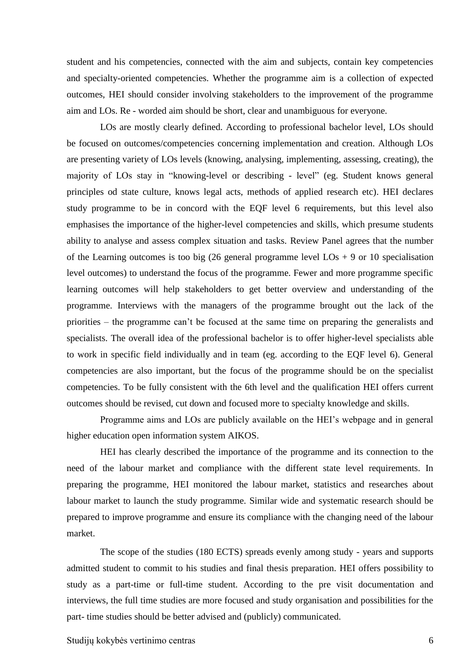student and his competencies, connected with the aim and subjects, contain key competencies and specialty-oriented competencies. Whether the programme aim is a collection of expected outcomes, HEI should consider involving stakeholders to the improvement of the programme aim and LOs. Re - worded aim should be short, clear and unambiguous for everyone.

LOs are mostly clearly defined. According to professional bachelor level, LOs should be focused on outcomes/competencies concerning implementation and creation. Although LOs are presenting variety of LOs levels (knowing, analysing, implementing, assessing, creating), the majority of LOs stay in "knowing-level or describing - level" (eg. Student knows general principles od state culture, knows legal acts, methods of applied research etc). HEI declares study programme to be in concord with the EQF level 6 requirements, but this level also emphasises the importance of the higher-level competencies and skills, which presume students ability to analyse and assess complex situation and tasks. Review Panel agrees that the number of the Learning outcomes is too big (26 general programme level  $LOs + 9$  or 10 specialisation level outcomes) to understand the focus of the programme. Fewer and more programme specific learning outcomes will help stakeholders to get better overview and understanding of the programme. Interviews with the managers of the programme brought out the lack of the priorities – the programme can't be focused at the same time on preparing the generalists and specialists. The overall idea of the professional bachelor is to offer higher-level specialists able to work in specific field individually and in team (eg. according to the EQF level 6). General competencies are also important, but the focus of the programme should be on the specialist competencies. To be fully consistent with the 6th level and the qualification HEI offers current outcomes should be revised, cut down and focused more to specialty knowledge and skills.

Programme aims and LOs are publicly available on the HEI's webpage and in general higher education open information system AIKOS.

HEI has clearly described the importance of the programme and its connection to the need of the labour market and compliance with the different state level requirements. In preparing the programme, HEI monitored the labour market, statistics and researches about labour market to launch the study programme. Similar wide and systematic research should be prepared to improve programme and ensure its compliance with the changing need of the labour market.

The scope of the studies (180 ECTS) spreads evenly among study - years and supports admitted student to commit to his studies and final thesis preparation. HEI offers possibility to study as a part-time or full-time student. According to the pre visit documentation and interviews, the full time studies are more focused and study organisation and possibilities for the part- time studies should be better advised and (publicly) communicated.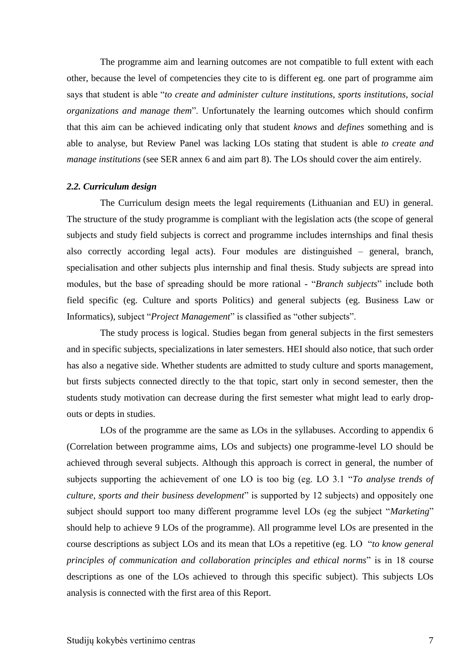The programme aim and learning outcomes are not compatible to full extent with each other, because the level of competencies they cite to is different eg. one part of programme aim says that student is able "*to create and administer culture institutions, sports institutions, social organizations and manage them*". Unfortunately the learning outcomes which should confirm that this aim can be achieved indicating only that student *knows* and *defines* something and is able to analyse, but Review Panel was lacking LOs stating that student is able *to create and manage institutions* (see SER annex 6 and aim part 8). The LOs should cover the aim entirely.

### <span id="page-6-0"></span>*2.2. Curriculum design*

The Curriculum design meets the legal requirements (Lithuanian and EU) in general. The structure of the study programme is compliant with the legislation acts (the scope of general subjects and study field subjects is correct and programme includes internships and final thesis also correctly according legal acts). Four modules are distinguished – general, branch, specialisation and other subjects plus internship and final thesis. Study subjects are spread into modules, but the base of spreading should be more rational - "*Branch subjects*" include both field specific (eg. Culture and sports Politics) and general subjects (eg. Business Law or Informatics), subject "*Project Management*" is classified as "other subjects".

The study process is logical. Studies began from general subjects in the first semesters and in specific subjects, specializations in later semesters. HEI should also notice, that such order has also a negative side. Whether students are admitted to study culture and sports management, but firsts subjects connected directly to the that topic, start only in second semester, then the students study motivation can decrease during the first semester what might lead to early dropouts or depts in studies.

LOs of the programme are the same as LOs in the syllabuses. According to appendix 6 (Correlation between programme aims, LOs and subjects) one programme-level LO should be achieved through several subjects. Although this approach is correct in general, the number of subjects supporting the achievement of one LO is too big (eg. LO 3.1 "*To analyse trends of culture, sports and their business development*" is supported by 12 subjects) and oppositely one subject should support too many different programme level LOs (eg the subject "*Marketing*" should help to achieve 9 LOs of the programme). All programme level LOs are presented in the course descriptions as subject LOs and its mean that LOs a repetitive (eg. LO "*to know general principles of communication and collaboration principles and ethical norms*" is in 18 course descriptions as one of the LOs achieved to through this specific subject). This subjects LOs analysis is connected with the first area of this Report.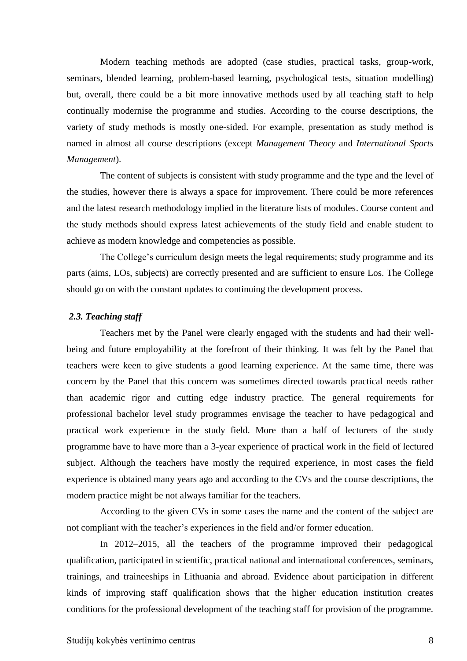Modern teaching methods are adopted (case studies, practical tasks, group-work, seminars, blended learning, problem-based learning, psychological tests, situation modelling) but, overall, there could be a bit more innovative methods used by all teaching staff to help continually modernise the programme and studies. According to the course descriptions, the variety of study methods is mostly one-sided. For example, presentation as study method is named in almost all course descriptions (except *Management Theory* and *International Sports Management*).

The content of subjects is consistent with study programme and the type and the level of the studies, however there is always a space for improvement. There could be more references and the latest research methodology implied in the literature lists of modules. Course content and the study methods should express latest achievements of the study field and enable student to achieve as modern knowledge and competencies as possible.

The College's curriculum design meets the legal requirements; study programme and its parts (aims, LOs, subjects) are correctly presented and are sufficient to ensure Los. The College should go on with the constant updates to continuing the development process.

## <span id="page-7-0"></span>*2.3. Teaching staff*

Teachers met by the Panel were clearly engaged with the students and had their wellbeing and future employability at the forefront of their thinking. It was felt by the Panel that teachers were keen to give students a good learning experience. At the same time, there was concern by the Panel that this concern was sometimes directed towards practical needs rather than academic rigor and cutting edge industry practice. The general requirements for professional bachelor level study programmes envisage the teacher to have pedagogical and practical work experience in the study field. More than a half of lecturers of the study programme have to have more than a 3-year experience of practical work in the field of lectured subject. Although the teachers have mostly the required experience, in most cases the field experience is obtained many years ago and according to the CVs and the course descriptions, the modern practice might be not always familiar for the teachers.

According to the given CVs in some cases the name and the content of the subject are not compliant with the teacher's experiences in the field and/or former education.

In 2012–2015, all the teachers of the programme improved their pedagogical qualification, participated in scientific, practical national and international conferences, seminars, trainings, and traineeships in Lithuania and abroad. Evidence about participation in different kinds of improving staff qualification shows that the higher education institution creates conditions for the professional development of the teaching staff for provision of the programme.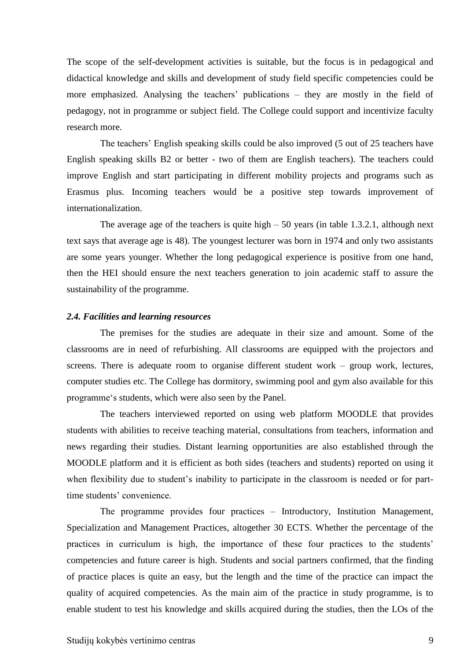The scope of the self-development activities is suitable, but the focus is in pedagogical and didactical knowledge and skills and development of study field specific competencies could be more emphasized. Analysing the teachers' publications – they are mostly in the field of pedagogy, not in programme or subject field. The College could support and incentivize faculty research more.

The teachers' English speaking skills could be also improved (5 out of 25 teachers have English speaking skills B2 or better - two of them are English teachers). The teachers could improve English and start participating in different mobility projects and programs such as Erasmus plus. Incoming teachers would be a positive step towards improvement of internationalization.

The average age of the teachers is quite high  $-50$  years (in table 1.3.2.1, although next text says that average age is 48). The youngest lecturer was born in 1974 and only two assistants are some years younger. Whether the long pedagogical experience is positive from one hand, then the HEI should ensure the next teachers generation to join academic staff to assure the sustainability of the programme.

#### <span id="page-8-0"></span>*2.4. Facilities and learning resources*

The premises for the studies are adequate in their size and amount. Some of the classrooms are in need of refurbishing. All classrooms are equipped with the projectors and screens. There is adequate room to organise different student work – group work, lectures, computer studies etc. The College has dormitory, swimming pool and gym also available for this programme's students, which were also seen by the Panel.

The teachers interviewed reported on using web platform MOODLE that provides students with abilities to receive teaching material, consultations from teachers, information and news regarding their studies. Distant learning opportunities are also established through the MOODLE platform and it is efficient as both sides (teachers and students) reported on using it when flexibility due to student's inability to participate in the classroom is needed or for parttime students' convenience.

The programme provides four practices – Introductory, Institution Management, Specialization and Management Practices, altogether 30 ECTS. Whether the percentage of the practices in curriculum is high, the importance of these four practices to the students' competencies and future career is high. Students and social partners confirmed, that the finding of practice places is quite an easy, but the length and the time of the practice can impact the quality of acquired competencies. As the main aim of the practice in study programme, is to enable student to test his knowledge and skills acquired during the studies, then the LOs of the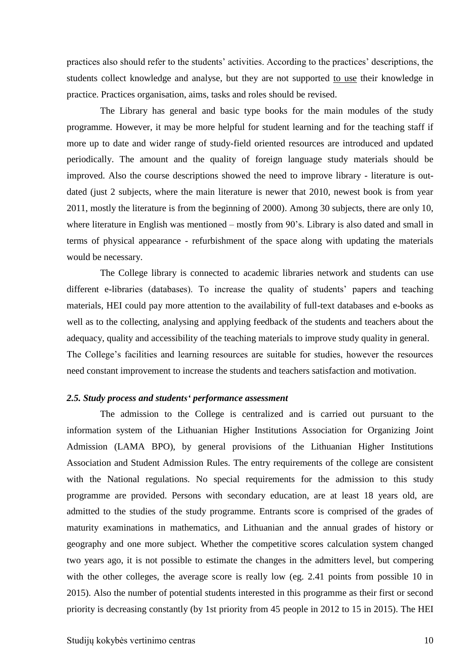practices also should refer to the students' activities. According to the practices' descriptions, the students collect knowledge and analyse, but they are not supported to use their knowledge in practice. Practices organisation, aims, tasks and roles should be revised.

The Library has general and basic type books for the main modules of the study programme. However, it may be more helpful for student learning and for the teaching staff if more up to date and wider range of study-field oriented resources are introduced and updated periodically. The amount and the quality of foreign language study materials should be improved. Also the course descriptions showed the need to improve library - literature is outdated (just 2 subjects, where the main literature is newer that 2010, newest book is from year 2011, mostly the literature is from the beginning of 2000). Among 30 subjects, there are only 10, where literature in English was mentioned – mostly from 90's. Library is also dated and small in terms of physical appearance - refurbishment of the space along with updating the materials would be necessary.

The College library is connected to academic libraries network and students can use different e-libraries (databases). To increase the quality of students' papers and teaching materials, HEI could pay more attention to the availability of full-text databases and e-books as well as to the collecting, analysing and applying feedback of the students and teachers about the adequacy, quality and accessibility of the teaching materials to improve study quality in general. The College's facilities and learning resources are suitable for studies, however the resources need constant improvement to increase the students and teachers satisfaction and motivation.

### <span id="page-9-0"></span>*2.5. Study process and students' performance assessment*

The admission to the College is centralized and is carried out pursuant to the information system of the Lithuanian Higher Institutions Association for Organizing Joint Admission (LAMA BPO), by general provisions of the Lithuanian Higher Institutions Association and Student Admission Rules. The entry requirements of the college are consistent with the National regulations. No special requirements for the admission to this study programme are provided. Persons with secondary education, are at least 18 years old, are admitted to the studies of the study programme. Entrants score is comprised of the grades of maturity examinations in mathematics, and Lithuanian and the annual grades of history or geography and one more subject. Whether the competitive scores calculation system changed two years ago, it is not possible to estimate the changes in the admitters level, but compering with the other colleges, the average score is really low (eg. 2.41 points from possible 10 in 2015). Also the number of potential students interested in this programme as their first or second priority is decreasing constantly (by 1st priority from 45 people in 2012 to 15 in 2015). The HEI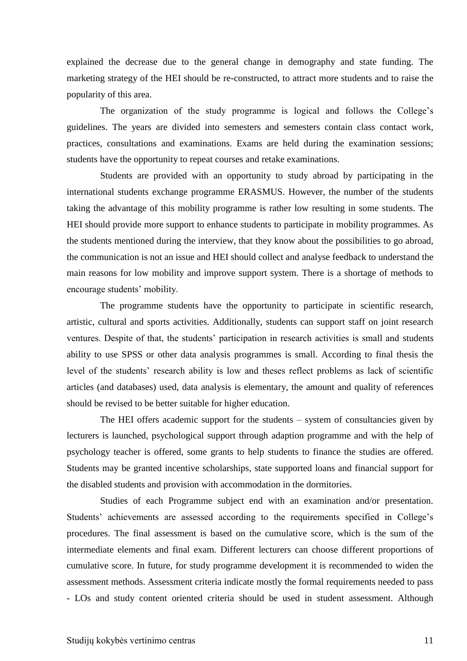explained the decrease due to the general change in demography and state funding. The marketing strategy of the HEI should be re-constructed, to attract more students and to raise the popularity of this area.

The organization of the study programme is logical and follows the College's guidelines. The years are divided into semesters and semesters contain class contact work, practices, consultations and examinations. Exams are held during the examination sessions; students have the opportunity to repeat courses and retake examinations.

Students are provided with an opportunity to study abroad by participating in the international students exchange programme ERASMUS. However, the number of the students taking the advantage of this mobility programme is rather low resulting in some students. The HEI should provide more support to enhance students to participate in mobility programmes. As the students mentioned during the interview, that they know about the possibilities to go abroad, the communication is not an issue and HEI should collect and analyse feedback to understand the main reasons for low mobility and improve support system. There is a shortage of methods to encourage students' mobility.

The programme students have the opportunity to participate in scientific research, artistic, cultural and sports activities. Additionally, students can support staff on joint research ventures. Despite of that, the students' participation in research activities is small and students ability to use SPSS or other data analysis programmes is small. According to final thesis the level of the students' research ability is low and theses reflect problems as lack of scientific articles (and databases) used, data analysis is elementary, the amount and quality of references should be revised to be better suitable for higher education.

The HEI offers academic support for the students – system of consultancies given by lecturers is launched, psychological support through adaption programme and with the help of psychology teacher is offered, some grants to help students to finance the studies are offered. Students may be granted incentive scholarships, state supported loans and financial support for the disabled students and provision with accommodation in the dormitories.

Studies of each Programme subject end with an examination and/or presentation. Students' achievements are assessed according to the requirements specified in College's procedures. The final assessment is based on the cumulative score, which is the sum of the intermediate elements and final exam. Different lecturers can choose different proportions of cumulative score. In future, for study programme development it is recommended to widen the assessment methods. Assessment criteria indicate mostly the formal requirements needed to pass - LOs and study content oriented criteria should be used in student assessment. Although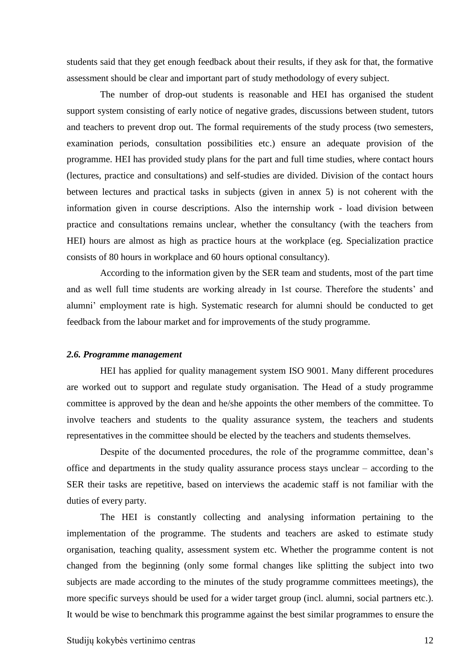students said that they get enough feedback about their results, if they ask for that, the formative assessment should be clear and important part of study methodology of every subject.

The number of drop-out students is reasonable and HEI has organised the student support system consisting of early notice of negative grades, discussions between student, tutors and teachers to prevent drop out. The formal requirements of the study process (two semesters, examination periods, consultation possibilities etc.) ensure an adequate provision of the programme. HEI has provided study plans for the part and full time studies, where contact hours (lectures, practice and consultations) and self-studies are divided. Division of the contact hours between lectures and practical tasks in subjects (given in annex 5) is not coherent with the information given in course descriptions. Also the internship work - load division between practice and consultations remains unclear, whether the consultancy (with the teachers from HEI) hours are almost as high as practice hours at the workplace (eg. Specialization practice consists of 80 hours in workplace and 60 hours optional consultancy).

According to the information given by the SER team and students, most of the part time and as well full time students are working already in 1st course. Therefore the students' and alumni' employment rate is high. Systematic research for alumni should be conducted to get feedback from the labour market and for improvements of the study programme.

#### <span id="page-11-0"></span>*2.6. Programme management*

HEI has applied for quality management system ISO 9001. Many different procedures are worked out to support and regulate study organisation. The Head of a study programme committee is approved by the dean and he/she appoints the other members of the committee. To involve teachers and students to the quality assurance system, the teachers and students representatives in the committee should be elected by the teachers and students themselves.

Despite of the documented procedures, the role of the programme committee, dean's office and departments in the study quality assurance process stays unclear – according to the SER their tasks are repetitive, based on interviews the academic staff is not familiar with the duties of every party.

The HEI is constantly collecting and analysing information pertaining to the implementation of the programme. The students and teachers are asked to estimate study organisation, teaching quality, assessment system etc. Whether the programme content is not changed from the beginning (only some formal changes like splitting the subject into two subjects are made according to the minutes of the study programme committees meetings), the more specific surveys should be used for a wider target group (incl. alumni, social partners etc.). It would be wise to benchmark this programme against the best similar programmes to ensure the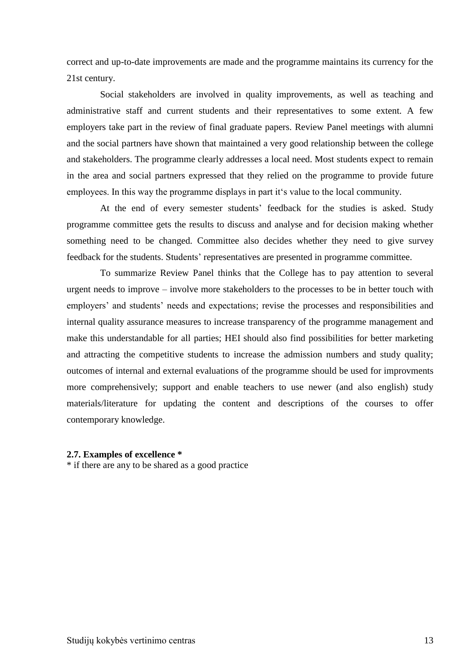correct and up-to-date improvements are made and the programme maintains its currency for the 21st century.

Social stakeholders are involved in quality improvements, as well as teaching and administrative staff and current students and their representatives to some extent. A few employers take part in the review of final graduate papers. Review Panel meetings with alumni and the social partners have shown that maintained a very good relationship between the college and stakeholders. The programme clearly addresses a local need. Most students expect to remain in the area and social partners expressed that they relied on the programme to provide future employees. In this way the programme displays in part it's value to the local community.

At the end of every semester students' feedback for the studies is asked. Study programme committee gets the results to discuss and analyse and for decision making whether something need to be changed. Committee also decides whether they need to give survey feedback for the students. Students' representatives are presented in programme committee.

To summarize Review Panel thinks that the College has to pay attention to several urgent needs to improve – involve more stakeholders to the processes to be in better touch with employers' and students' needs and expectations; revise the processes and responsibilities and internal quality assurance measures to increase transparency of the programme management and make this understandable for all parties; HEI should also find possibilities for better marketing and attracting the competitive students to increase the admission numbers and study quality; outcomes of internal and external evaluations of the programme should be used for improvments more comprehensively; support and enable teachers to use newer (and also english) study materials/literature for updating the content and descriptions of the courses to offer contemporary knowledge.

## <span id="page-12-0"></span>**2.7. Examples of excellence \***

\* if there are any to be shared as a good practice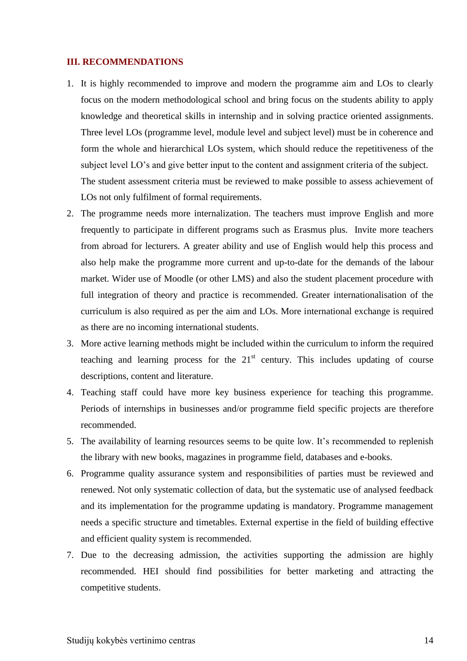## <span id="page-13-0"></span>**III. RECOMMENDATIONS**

- 1. It is highly recommended to improve and modern the programme aim and LOs to clearly focus on the modern methodological school and bring focus on the students ability to apply knowledge and theoretical skills in internship and in solving practice oriented assignments. Three level LOs (programme level, module level and subject level) must be in coherence and form the whole and hierarchical LOs system, which should reduce the repetitiveness of the subject level LO's and give better input to the content and assignment criteria of the subject. The student assessment criteria must be reviewed to make possible to assess achievement of LOs not only fulfilment of formal requirements.
- 2. The programme needs more internalization. The teachers must improve English and more frequently to participate in different programs such as Erasmus plus. Invite more teachers from abroad for lecturers. A greater ability and use of English would help this process and also help make the programme more current and up-to-date for the demands of the labour market. Wider use of Moodle (or other LMS) and also the student placement procedure with full integration of theory and practice is recommended. Greater internationalisation of the curriculum is also required as per the aim and LOs. More international exchange is required as there are no incoming international students.
- 3. More active learning methods might be included within the curriculum to inform the required teaching and learning process for the  $21<sup>st</sup>$  century. This includes updating of course descriptions, content and literature.
- 4. Teaching staff could have more key business experience for teaching this programme. Periods of internships in businesses and/or programme field specific projects are therefore recommended.
- 5. The availability of learning resources seems to be quite low. It's recommended to replenish the library with new books, magazines in programme field, databases and e-books.
- 6. Programme quality assurance system and responsibilities of parties must be reviewed and renewed. Not only systematic collection of data, but the systematic use of analysed feedback and its implementation for the programme updating is mandatory. Programme management needs a specific structure and timetables. External expertise in the field of building effective and efficient quality system is recommended.
- 7. Due to the decreasing admission, the activities supporting the admission are highly recommended. HEI should find possibilities for better marketing and attracting the competitive students.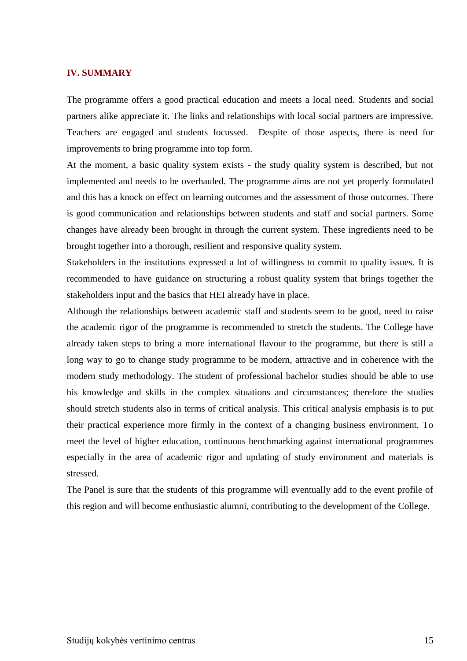#### <span id="page-14-0"></span>**IV. SUMMARY**

The programme offers a good practical education and meets a local need. Students and social partners alike appreciate it. The links and relationships with local social partners are impressive. Teachers are engaged and students focussed. Despite of those aspects, there is need for improvements to bring programme into top form.

At the moment, a basic quality system exists - the study quality system is described, but not implemented and needs to be overhauled. The programme aims are not yet properly formulated and this has a knock on effect on learning outcomes and the assessment of those outcomes. There is good communication and relationships between students and staff and social partners. Some changes have already been brought in through the current system. These ingredients need to be brought together into a thorough, resilient and responsive quality system.

Stakeholders in the institutions expressed a lot of willingness to commit to quality issues. It is recommended to have guidance on structuring a robust quality system that brings together the stakeholders input and the basics that HEI already have in place.

Although the relationships between academic staff and students seem to be good, need to raise the academic rigor of the programme is recommended to stretch the students. The College have already taken steps to bring a more international flavour to the programme, but there is still a long way to go to change study programme to be modern, attractive and in coherence with the modern study methodology. The student of professional bachelor studies should be able to use his knowledge and skills in the complex situations and circumstances; therefore the studies should stretch students also in terms of critical analysis. This critical analysis emphasis is to put their practical experience more firmly in the context of a changing business environment. To meet the level of higher education, continuous benchmarking against international programmes especially in the area of academic rigor and updating of study environment and materials is stressed.

The Panel is sure that the students of this programme will eventually add to the event profile of this region and will become enthusiastic alumni, contributing to the development of the College.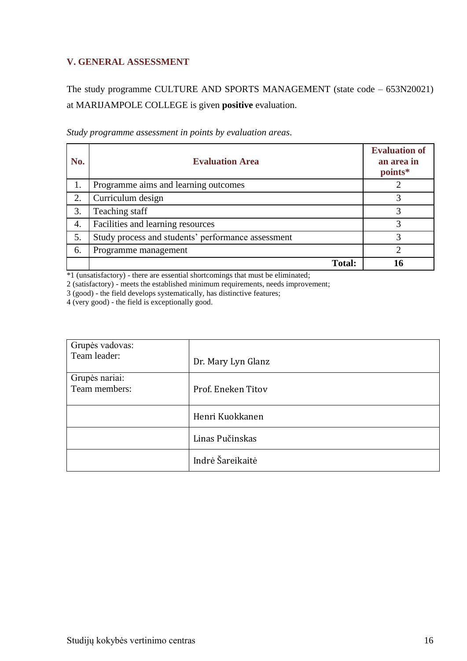## <span id="page-15-0"></span>**V. GENERAL ASSESSMENT**

The study programme CULTURE AND SPORTS MANAGEMENT (state code – 653N20021) at MARIJAMPOLE COLLEGE is given **positive** evaluation.

| No. | <b>Evaluation Area</b>                             | <b>Evaluation of</b><br>an area in<br>points* |
|-----|----------------------------------------------------|-----------------------------------------------|
| 1.  | Programme aims and learning outcomes               |                                               |
| 2.  | Curriculum design                                  |                                               |
| 3.  | Teaching staff                                     | 3                                             |
| 4.  | Facilities and learning resources                  | 3                                             |
| 5.  | Study process and students' performance assessment | 3                                             |
| 6.  | Programme management                               | 2                                             |
|     | <b>Total:</b>                                      |                                               |

*Study programme assessment in points by evaluation areas*.

\*1 (unsatisfactory) - there are essential shortcomings that must be eliminated;

2 (satisfactory) - meets the established minimum requirements, needs improvement;

3 (good) - the field develops systematically, has distinctive features;

4 (very good) - the field is exceptionally good.

| Grupės vadovas:<br>Team leader: | Dr. Mary Lyn Glanz |
|---------------------------------|--------------------|
| Grupės nariai:<br>Team members: | Prof. Eneken Titov |
|                                 | Henri Kuokkanen    |
|                                 | Linas Pučinskas    |
|                                 | Indrė Šareikaitė   |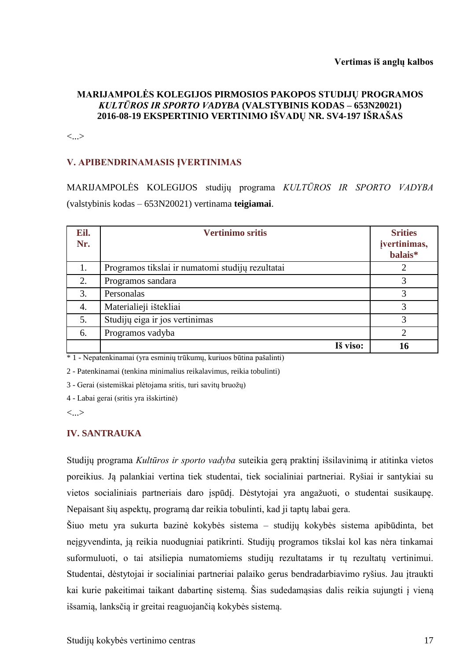## **MARIJAMPOLĖS KOLEGIJOS PIRMOSIOS PAKOPOS STUDIJŲ PROGRAMOS**  *KULTŪROS IR SPORTO VADYBA* **(VALSTYBINIS KODAS – 653N20021) 2016-08-19 EKSPERTINIO VERTINIMO IŠVADŲ NR. SV4-197 IŠRAŠAS**

<...>

## **V. APIBENDRINAMASIS ĮVERTINIMAS**

MARIJAMPOLĖS KOLEGIJOS studijų programa *KULTŪROS IR SPORTO VADYBA*  (valstybinis kodas – 653N20021) vertinama **teigiamai**.

| Eil.<br>Nr. | <b>Vertinimo sritis</b>                          | <b>Srities</b><br>jvertinimas,<br>balais* |
|-------------|--------------------------------------------------|-------------------------------------------|
| 1.          | Programos tikslai ir numatomi studijų rezultatai | 2                                         |
| 2.          | Programos sandara                                | 3                                         |
| 3.          | Personalas                                       | 3                                         |
| 4.          | Materialieji ištekliai                           | 3                                         |
| 5.          | Studijų eiga ir jos vertinimas                   | 3                                         |
| 6.          | Programos vadyba                                 | 2                                         |
|             | Iš viso:                                         | 16                                        |

\* 1 - Nepatenkinamai (yra esminių trūkumų, kuriuos būtina pašalinti)

2 - Patenkinamai (tenkina minimalius reikalavimus, reikia tobulinti)

3 - Gerai (sistemiškai plėtojama sritis, turi savitų bruožų)

4 - Labai gerai (sritis yra išskirtinė)

<...>

## **IV. SANTRAUKA**

Studijų programa *Kultūros ir sporto vadyba* suteikia gerą praktinį išsilavinimą ir atitinka vietos poreikius. Ją palankiai vertina tiek studentai, tiek socialiniai partneriai. Ryšiai ir santykiai su vietos socialiniais partneriais daro įspūdį. Dėstytojai yra angažuoti, o studentai susikaupę. Nepaisant šių aspektų, programą dar reikia tobulinti, kad ji taptų labai gera.

Šiuo metu yra sukurta bazinė kokybės sistema – studijų kokybės sistema apibūdinta, bet neįgyvendinta, ją reikia nuodugniai patikrinti. Studijų programos tikslai kol kas nėra tinkamai suformuluoti, o tai atsiliepia numatomiems studijų rezultatams ir tų rezultatų vertinimui. Studentai, dėstytojai ir socialiniai partneriai palaiko gerus bendradarbiavimo ryšius. Jau įtraukti kai kurie pakeitimai taikant dabartinę sistemą. Šias sudedamąsias dalis reikia sujungti į vieną išsamią, lanksčią ir greitai reaguojančią kokybės sistemą.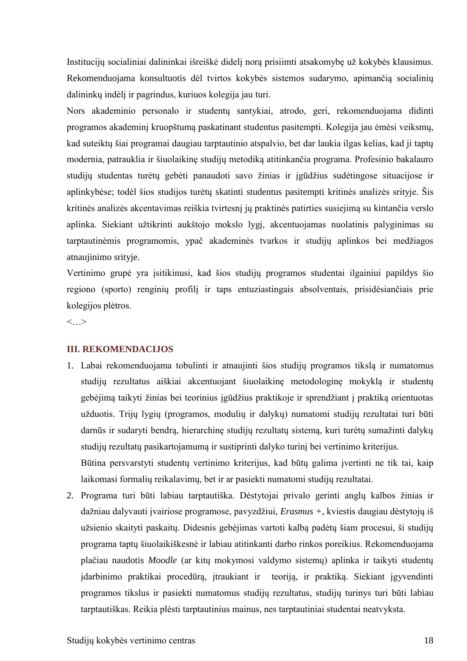Institucijų socialiniai dalininkai išreiškė didelį norą prisiimti atsakomybę už kokybės klausimus. Rekomenduojama konsultuotis dėl tvirtos kokybės sistemos sudarymo, apimančią socialinių dalininkų indėlį ir pagrindus, kuriuos kolegija jau turi.

Nors akademinio personalo ir studentų santykiai, atrodo, geri, rekomenduojama didinti programos akademinį kruopštumą paskatinant studentus pasitempti. Kolegija jau ėmėsi veiksmų, kad suteiktų šiai programai daugiau tarptautinio atspalvio, bet dar laukia ilgas kelias, kad ji taptų modernia, patrauklia ir šiuolaikinę studijų metodiką atitinkančia programa. Profesinio bakalauro studijų studentas turėtų gebėti panaudoti savo žinias ir įgūdžius sudėtingose situacijose ir aplinkybėse; todėl šios studijos turėtų skatinti studentus pasitempti kritinės analizės srityje. Šis kritinės analizės akcentavimas reiškia tvirtesnį jų praktinės patirties susiejimą su kintančia verslo aplinka. Siekiant užtikrinti aukštojo mokslo lygį, akcentuojamas nuolatinis palyginimas su tarptautinėmis programomis, ypač akademinės tvarkos ir studijų aplinkos bei medžiagos atnaujinimo srityje.

Vertinimo grupė yra įsitikinusi, kad šios studijų programos studentai ilgainiui papildys šio regiono (sporto) renginių profilį ir taps entuziastingais absolventais, prisidėsiančiais prie kolegijos plėtros.

 $\langle \cdot, \cdot \rangle$ 

## **III. REKOMENDACIJOS**

- 1. Labai rekomenduojama tobulinti ir atnaujinti šios studijų programos tikslą ir numatomus studijų rezultatus aiškiai akcentuojant šiuolaikinę metodologinę mokyklą ir studentų gebėjimą taikyti žinias bei teorinius įgūdžius praktikoje ir sprendžiant į praktiką orientuotas užduotis. Trijų lygių (programos, modulių ir dalykų) numatomi studijų rezultatai turi būti darnūs ir sudaryti bendrą, hierarchinę studijų rezultatų sistemą, kuri turėtų sumažinti dalykų studijų rezultatų pasikartojamumą ir sustiprinti dalyko turinį bei vertinimo kriterijus. Būtina persvarstyti studentų vertinimo kriterijus, kad būtų galima įvertinti ne tik tai, kaip laikomasi formalių reikalavimų, bet ir ar pasiekti numatomi studijų rezultatai.
- 2. Programa turi būti labiau tarptautiška. Dėstytojai privalo gerinti anglų kalbos žinias ir dažniau dalyvauti įvairiose programose, pavyzdžiui, *Erasmus +*, kviestis daugiau dėstytojų iš užsienio skaityti paskaitų. Didesnis gebėjimas vartoti kalbą padėtų šiam procesui, ši studijų programa taptų šiuolaikiškesnė ir labiau atitinkanti darbo rinkos poreikius. Rekomenduojama plačiau naudotis *Moodle* (ar kitų mokymosi valdymo sistemų) aplinka ir taikyti studentų įdarbinimo praktikai procedūrą, įtraukiant ir teoriją, ir praktiką. Siekiant įgyvendinti programos tikslus ir pasiekti numatomus studijų rezultatus, studijų turinys turi būti labiau tarptautiškas. Reikia plėsti tarptautinius mainus, nes tarptautiniai studentai neatvyksta.